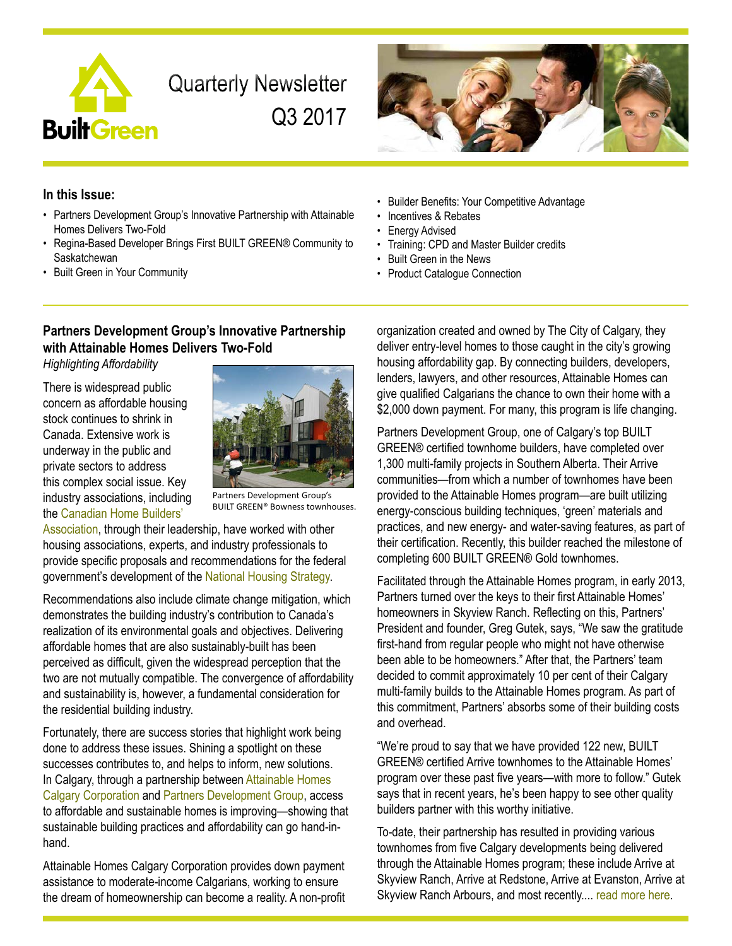

**Quarterly Newsletter** Q3 2017



## **In this Issue:**

- Partners Development Group's Innovative Partnership with Attainable Homes Delivers Two-Fold
- Regina-Based Developer Brings First BUILT GREEN® Community to **Saskatchewan**
- Built Green in Your Community

# **Partners Development Group's Innovative Partnership with Attainable Homes Delivers Two-Fold**

*Highlighting Affordability*

There is widespread public concern as affordable housing stock continues to shrink in Canada. Extensive work is underway in the public and private sectors to address this complex social issue. Key industry associations, including the [Canadian Home Builders'](http://www.chba.ca/) 



Partners Development Group's BUILT GREEN® Bowness townhouses.

[Association](http://www.chba.ca/), through their leadership, have worked with other housing associations, experts, and industry professionals to provide specific proposals and recommendations for the federal government's development of the [National Housing Strategy.](https://www.letstalkhousing.ca/)

Recommendations also include climate change mitigation, which demonstrates the building industry's contribution to Canada's realization of its environmental goals and objectives. Delivering affordable homes that are also sustainably-built has been perceived as difficult, given the widespread perception that the two are not mutually compatible. The convergence of affordability and sustainability is, however, a fundamental consideration for the residential building industry.

Fortunately, there are success stories that highlight work being done to address these issues. Shining a spotlight on these successes contributes to, and helps to inform, new solutions. In Calgary, through a partnership between [Attainable Homes](http://attainyourhome.com/) Calgary Corporation and [Partners Development Group](http://arrivehome.ca/), access to affordable and sustainable homes is improving—showing that sustainable building practices and affordability can go hand-inhand.

Attainable Homes Calgary Corporation provides down payment assistance to moderate-income Calgarians, working to ensure the dream of homeownership can become a reality. A non-profit

- Builder Benefits: Your Competitive Advantage
- Incentives & Rebates
- Energy Advised
- Training: CPD and Master Builder credits
- Built Green in the News
- Product Catalogue Connection

organization created and owned by The City of Calgary, they deliver entry-level homes to those caught in the city's growing housing affordability gap. By connecting builders, developers, lenders, lawyers, and other resources, Attainable Homes can give qualified Calgarians the chance to own their home with a \$2,000 down payment. For many, this program is life changing.

Partners Development Group, one of Calgary's top BUILT GREEN® certified townhome builders, have completed over 1,300 multi-family projects in Southern Alberta. Their Arrive communities—from which a number of townhomes have been provided to the Attainable Homes program—are built utilizing energy-conscious building techniques, 'green' materials and practices, and new energy- and water-saving features, as part of their certification. Recently, this builder reached the milestone of completing 600 BUILT GREEN® Gold townhomes.

Facilitated through the Attainable Homes program, in early 2013, Partners turned over the keys to their first Attainable Homes' homeowners in Skyview Ranch. Reflecting on this, Partners' President and founder, Greg Gutek, says, "We saw the gratitude first-hand from regular people who might not have otherwise been able to be homeowners." After that, the Partners' team decided to commit approximately 10 per cent of their Calgary multi-family builds to the Attainable Homes program. As part of this commitment, Partners' absorbs some of their building costs and overhead.

"We're proud to say that we have provided 122 new, BUILT GREEN® certified Arrive townhomes to the Attainable Homes' program over these past five years—with more to follow." Gutek says that in recent years, he's been happy to see other quality builders partner with this worthy initiative.

To-date, their partnership has resulted in providing various townhomes from five Calgary developments being delivered through the Attainable Homes program; these include Arrive at Skyview Ranch, Arrive at Redstone, Arrive at Evanston, Arrive at Skyview Ranch Arbours, and most recently.... [read more here.](http://builtgreencanada.ca/partners-development-group-s-innovative-partnership-with-attainable-homes-delivers-two-fold?id=1456)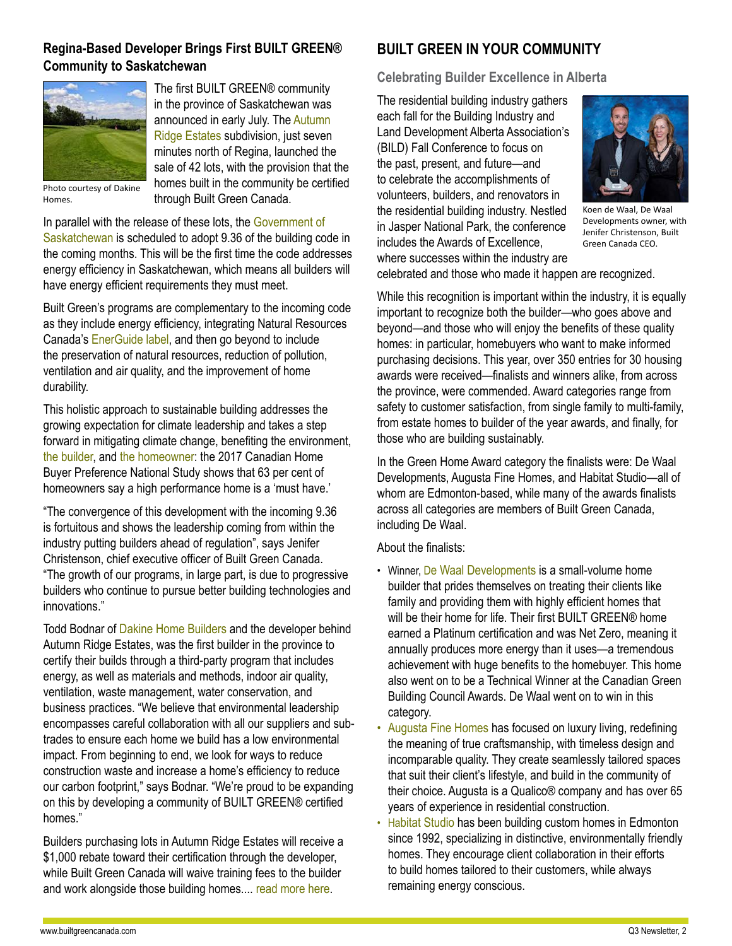# **Regina-Based Developer Brings First BUILT GREEN® Community to Saskatchewan**



The first BUILT GREEN® community in the province of Saskatchewan was announced in early July. The [Autumn](http://www.autumnridge.ca/)  [Ridge Estates](http://www.autumnridge.ca/) subdivision, just seven minutes north of Regina, launched the sale of 42 lots, with the provision that the homes built in the community be certified through Built Green Canada.

Photo courtesy of Dakine Homes.

In parallel with the release of these lots, the [Government of](http://www.saskatchewan.ca/business/housing-development-construction-and-property-management/building-standards-and-licensing/national-building-and-fire-code-information)  [Saskatchewan](http://www.saskatchewan.ca/business/housing-development-construction-and-property-management/building-standards-and-licensing/national-building-and-fire-code-information) is scheduled to adopt 9.36 of the building code in the coming months. This will be the first time the code addresses energy efficiency in Saskatchewan, which means all builders will have energy efficient requirements they must meet.

Built Green's programs are complementary to the incoming code as they include energy efficiency, integrating Natural Resources Canada's [EnerGuide label](http://www.nrcan.gc.ca/energy/products/energuide/12523), and then go beyond to include the preservation of natural resources, reduction of pollution, ventilation and air quality, and the improvement of home durability.

This holistic approach to sustainable building addresses the growing expectation for climate leadership and takes a step forward in mitigating climate change, benefiting the environment, [the builder,](http://builtgreencanada.ca/builder-benefits) and [the homeowner:](http://builtgreencanada.ca/homeowner-benefits) the 2017 Canadian Home Buyer Preference National Study shows that 63 per cent of homeowners say a high performance home is a 'must have.'

"The convergence of this development with the incoming 9.36 is fortuitous and shows the leadership coming from within the industry putting builders ahead of regulation", says Jenifer Christenson, chief executive officer of Built Green Canada. "The growth of our programs, in large part, is due to progressive builders who continue to pursue better building technologies and innovations."

Todd Bodnar of [Dakine Home Builders](http://www.dakinehomebuilders.ca/) and the developer behind Autumn Ridge Estates, was the first builder in the province to certify their builds through a third-party program that includes energy, as well as materials and methods, indoor air quality, ventilation, waste management, water conservation, and business practices. "We believe that environmental leadership encompasses careful collaboration with all our suppliers and subtrades to ensure each home we build has a low environmental impact. From beginning to end, we look for ways to reduce construction waste and increase a home's efficiency to reduce our carbon footprint," says Bodnar. "We're proud to be expanding on this by developing a community of BUILT GREEN® certified homes."

Builders purchasing lots in Autumn Ridge Estates will receive a \$1,000 rebate toward their certification through the developer, while Built Green Canada will waive training fees to the builder and work alongside those building homes.... [read more here.](http://builtgreencanada.ca/regina-based-developer-brings-first-built-green-community-to-saskatchewan?id=1456)

# **BUILT GREEN IN YOUR COMMUNITY**

**Celebrating Builder Excellence in Alberta** 

The residential building industry gathers each fall for the Building Industry and Land Development Alberta Association's (BILD) Fall Conference to focus on the past, present, and future—and to celebrate the accomplishments of volunteers, builders, and renovators in the residential building industry. Nestled in Jasper National Park, the conference includes the Awards of Excellence, where successes within the industry are



Koen de Waal, De Waal Developments owner, with Jenifer Christenson, Built Green Canada CEO.

celebrated and those who made it happen are recognized.

While this recognition is important within the industry, it is equally important to recognize both the builder—who goes above and beyond—and those who will enjoy the benefits of these quality homes: in particular, homebuyers who want to make informed purchasing decisions. This year, over 350 entries for 30 housing awards were received—finalists and winners alike, from across the province, were commended. Award categories range from safety to customer satisfaction, from single family to multi-family, from estate homes to builder of the year awards, and finally, for those who are building sustainably.

In the Green Home Award category the finalists were: De Waal Developments, Augusta Fine Homes, and Habitat Studio—all of whom are Edmonton-based, while many of the awards finalists across all categories are members of Built Green Canada, including De Waal.

About the finalists:

- Winner, [De Waal Developments](https://dewaaldevelopments.ca/) is a small-volume home builder that prides themselves on treating their clients like family and providing them with highly efficient homes that will be their home for life. Their first BUILT GREEN® home earned a Platinum certification and was Net Zero, meaning it annually produces more energy than it uses—a tremendous achievement with huge benefits to the homebuyer. This home also went on to be a Technical Winner at the Canadian Green Building Council Awards. De Waal went on to win in this category.
- [Augusta Fine Homes](http://www.augustafinehomes.com/) has focused on luxury living, redefining the meaning of true craftsmanship, with timeless design and incomparable quality. They create seamlessly tailored spaces that suit their client's lifestyle, and build in the community of their choice. Augusta is a Qualico® company and has over 65 years of experience in residential construction.
- [Habitat Studio](http://habitat-studio.com/) has been building custom homes in Edmonton since 1992, specializing in distinctive, environmentally friendly homes. They encourage client collaboration in their efforts to build homes tailored to their customers, while always remaining energy conscious.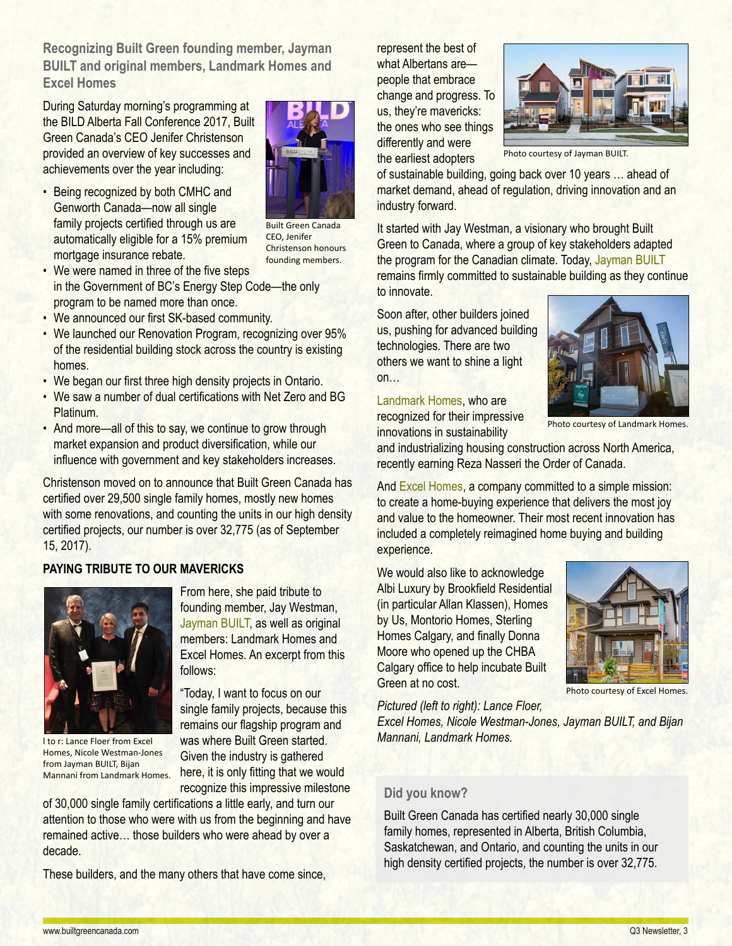**Recognizing Built Green founding member, Jayman BUILT and original members, Landmark Homes and Excel Homes**

During Saturday morning's programming at the BILD Alberta Fall Conference 2017, Built Green Canada's CEO Jenifer Christenson provided an overview of key successes and achievements over the year including:

• Being recognized by both CMHC and Genworth Canada—now all single family projects certified through us are automatically eligible for a 15% premium mortgage insurance rebate.



Built Green Canada CEO, Jenifer Christenson honours founding members.

- We were named in three of the five steps in the Government of BC's Energy Step Code—the only program to be named more than once.
- We announced our first SK-based community.
- We launched our Renovation Program, recognizing over 95% of the residential building stock across the country is existing homes.
- We began our first three high density projects in Ontario.
- We saw a number of dual certifications with Net Zero and BG Platinum.
- And more—all of this to say, we continue to grow through market expansion and product diversification, while our influence with government and key stakeholders increases.

Christenson moved on to announce that Built Green Canada has certified over 29,500 single family homes, mostly new homes with some renovations, and counting the units in our high density certified projects, our number is over 32,775 (as of September 15, 2017).

## **PAYING TRIBUTE TO OUR MAVERICKS**



l to r: Lance Floer from Excel Homes, Nicole Westman-Jones from Jayman BUILT, Bijan Mannani from Landmark Homes.

From here, she paid tribute to founding member, Jay Westman, [Jayman BUILT,](http://www.jayman.com/) as well as original members: Landmark Homes and Excel Homes. An excerpt from this follows:

"Today, I want to focus on our single family projects, because this remains our flagship program and was where Built Green started. Given the industry is gathered here, it is only fitting that we would recognize this impressive milestone

of 30,000 single family certifications a little early, and turn our attention to those who were with us from the beginning and have remained active… those builders who were ahead by over a decade.

These builders, and the many others that have come since,

represent the best of what Albertans are people that embrace change and progress. To us, they're mavericks: the ones who see things differently and were the earliest adopters



Photo courtesy of Jayman BUILT.

of sustainable building, going back over 10 years … ahead of market demand, ahead of regulation, driving innovation and an industry forward.

It started with Jay Westman, a visionary who brought Built Green to Canada, where a group of key stakeholders adapted the program for the Canadian climate. Today, [Jayman BUILT](http://www.jayman.com/) remains firmly committed to sustainable building as they continue to innovate.

Soon after, other builders joined us, pushing for advanced building technologies. There are two others we want to shine a light on…

#### [Landmark Homes,](https://landmarkhomes.ca/) who are

recognized for their impressive innovations in sustainability



Photo courtesy of Landmark Homes.

and industrializing housing construction across North America, recently earning Reza Nasseri the Order of Canada.

And [Excel Homes](https://www.excelhomes.ca/), a company committed to a simple mission: to create a home-buying experience that delivers the most joy and value to the homeowner. Their most recent innovation has included a completely reimagined home buying and building experience.

We would also like to acknowledge Albi Luxury by Brookfield Residential (in particular Allan Klassen), Homes by Us, Montorio Homes, Sterling Homes Calgary, and finally Donna Moore who opened up the CHBA Calgary office to help incubate Built Green at no cost.

*Pictured (left to right): Lance Floer,* 



Photo courtesy of Excel Homes.

*Excel Homes, Nicole Westman-Jones, Jayman BUILT, and Bijan Mannani, Landmark Homes.*

## **Did you know?**

Built Green Canada has certified nearly 30,000 single family homes, represented in Alberta, British Columbia, Saskatchewan, and Ontario, and counting the units in our high density certified projects, the number is over 32,775.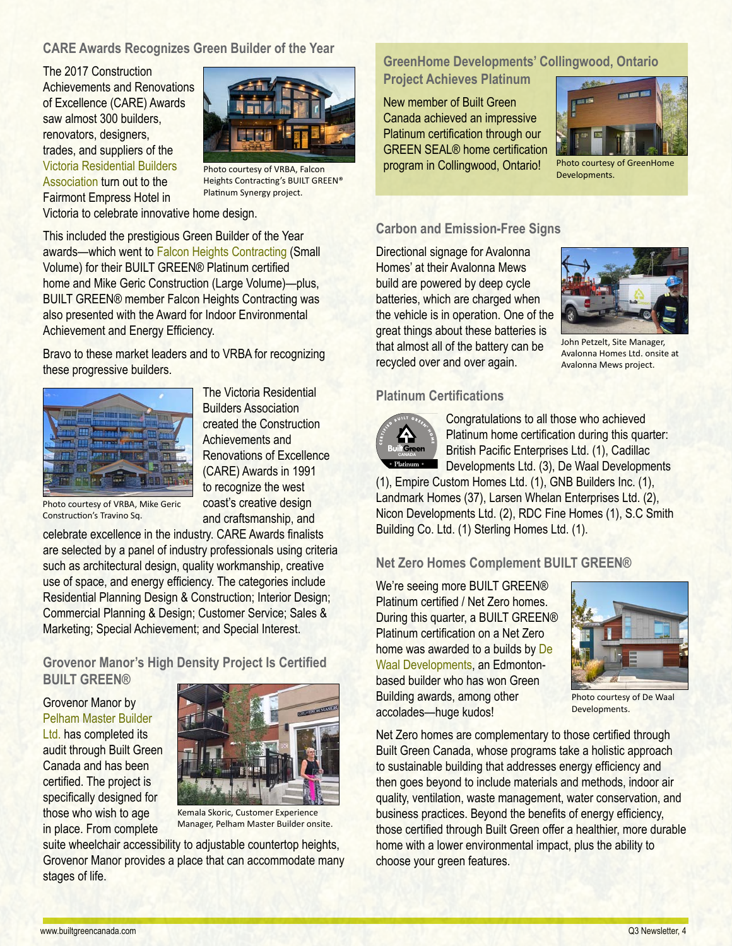## **CARE Awards Recognizes Green Builder of the Year**

The 2017 Construction Achievements and Renovations of Excellence (CARE) Awards saw almost 300 builders, renovators, designers, trades, and suppliers of the [Victoria Residential Builders](http://www.vrba.ca/)  [Association](http://www.vrba.ca/) turn out to the Fairmont Empress Hotel in



Photo courtesy of VRBA, Falcon Heights Contracting's BUILT GREEN® Platinum Synergy project.

Victoria to celebrate innovative home design.

This included the prestigious Green Builder of the Year awards—which went to [Falcon Heights Contracting](http://www.falconheights.ca/) (Small Volume) for their BUILT GREEN® Platinum certified home and Mike Geric Construction (Large Volume)—plus, BUILT GREEN® member Falcon Heights Contracting was also presented with the Award for Indoor Environmental Achievement and Energy Efficiency.

Bravo to these market leaders and to VRBA for recognizing these progressive builders.



The Victoria Residential Builders Association created the Construction Achievements and Renovations of Excellence (CARE) Awards in 1991 to recognize the west coast's creative design and craftsmanship, and

Photo courtesy of VRBA, Mike Geric Construction's Travino Sq.

celebrate excellence in the industry. CARE Awards finalists are selected by a panel of industry professionals using criteria such as architectural design, quality workmanship, creative use of space, and energy efficiency. The categories include Residential Planning Design & Construction; Interior Design; Commercial Planning & Design; Customer Service; Sales & Marketing; Special Achievement; and Special Interest.

**Grovenor Manor's High Density Project Is Certified BUILT GREEN®**

Grovenor Manor by

[Pelham Master Builder](http://www.pelhammasterbuilder.com/)  [Ltd.](http://www.pelhammasterbuilder.com/) has completed its audit through Built Green Canada and has been certified. The project is specifically designed for those who wish to age in place. From complete



Kemala Skoric, Customer Experience Manager, Pelham Master Builder onsite.

suite wheelchair accessibility to adjustable countertop heights, Grovenor Manor provides a place that can accommodate many stages of life.

# **GreenHome Developments' Collingwood, Ontario**

**Project Achieves Platinum**

New member of Built Green Canada achieved an impressive Platinum certification through our GREEN SEAL® home certification program in Collingwood, Ontario!



Photo courtesy of GreenHome Developments.

### **Carbon and Emission-Free Signs**

Directional signage for Avalonna Homes' at their Avalonna Mews build are powered by deep cycle batteries, which are charged when the vehicle is in operation. One of the great things about these batteries is that almost all of the battery can be recycled over and over again.



John Petzelt, Site Manager, Avalonna Homes Ltd. onsite at Avalonna Mews project.

### **Platinum Certifications**



Congratulations to all those who achieved Platinum home certification during this quarter: British Pacific Enterprises Ltd. (1), Cadillac Developments Ltd. (3), De Waal Developments

(1), Empire Custom Homes Ltd. (1), GNB Builders Inc. (1), Landmark Homes (37), Larsen Whelan Enterprises Ltd. (2), Nicon Developments Ltd. (2), RDC Fine Homes (1), S.C Smith Building Co. Ltd. (1) Sterling Homes Ltd. (1).

### **Net Zero Homes Complement BUILT GREEN®**

We're seeing more BUILT GREEN® Platinum certified / Net Zero homes. During this quarter, a BUILT GREEN® Platinum certification on a Net Zero home was awarded to a builds by [De](https://dewaaldevelopments.ca/)  [Waal Developments,](https://dewaaldevelopments.ca/) an Edmontonbased builder who has won Green Building awards, among other accolades—huge kudos!



Photo courtesy of De Waal Developments.

Net Zero homes are complementary to those certified through Built Green Canada, whose programs take a holistic approach to sustainable building that addresses energy efficiency and then goes beyond to include materials and methods, indoor air quality, ventilation, waste management, water conservation, and business practices. Beyond the benefits of energy efficiency, those certified through Built Green offer a healthier, more durable home with a lower environmental impact, plus the ability to choose your green features.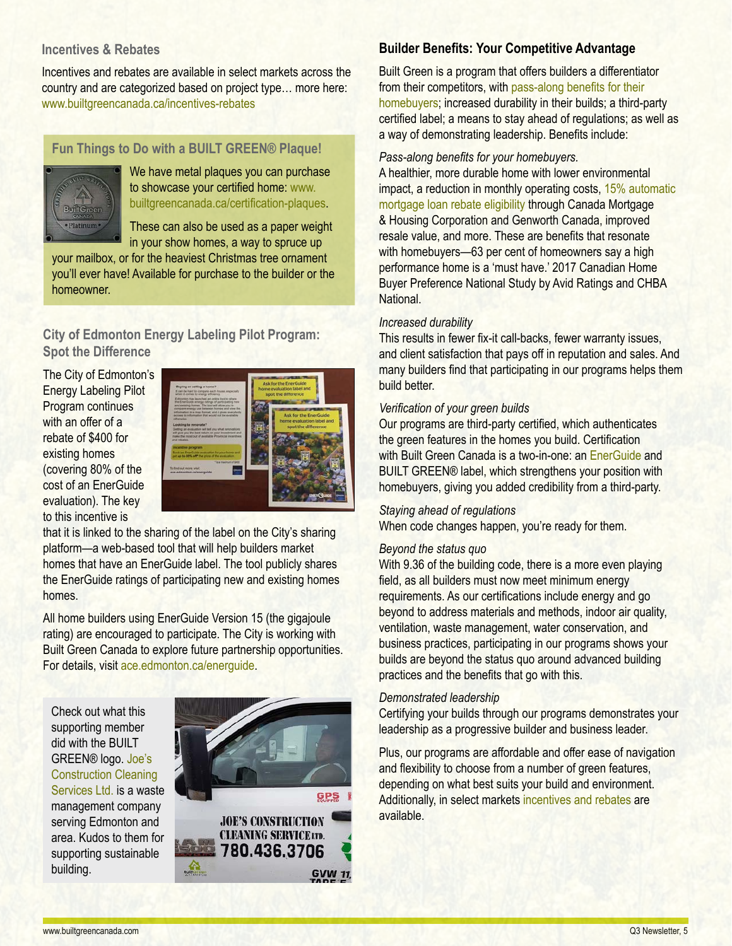## **Incentives & Rebates**

Incentives and rebates are available in select markets across the country and are categorized based on project type… more here: <www.builtgreencanada.ca/incentives-rebates>

# **Fun Things to Do with a BUILT GREEN® Plaque!**



We have metal plaques you can purchase to showcase your certified home: [www.](http://www.builtgreencanada.ca/certification-plaques) [builtgreencanada.ca/certification-plaques.](http://www.builtgreencanada.ca/certification-plaques)

These can also be used as a paper weight in your show homes, a way to spruce up

your mailbox, or for the heaviest Christmas tree ornament you'll ever have! Available for purchase to the builder or the homeowner.

# **City of Edmonton Energy Labeling Pilot Program: Spot the Difference**

The City of Edmonton's Energy Labeling Pilot Program continues with an offer of a rebate of \$400 for existing homes (covering 80% of the cost of an EnerGuide evaluation). The key to this incentive is



that it is linked to the sharing of the label on the City's sharing platform—a web-based tool that will help builders market homes that have an EnerGuide label. The tool publicly shares the EnerGuide ratings of participating new and existing homes homes.

All home builders using EnerGuide Version 15 (the gigajoule rating) are encouraged to participate. The City is working with Built Green Canada to explore future partnership opportunities. For details, visit [ace.edmonton.ca/energuide](http://ace.edmonton.ca/energuide/).

Check out what this supporting member did with the BUILT GREEN® logo. [Joe's](http://www.joesconstructiondisposal.com/)  [Construction Cleaning](http://www.joesconstructiondisposal.com/)  [Services Ltd.](http://www.joesconstructiondisposal.com/) is a waste management company serving Edmonton and area. Kudos to them for supporting sustainable building.



# **Builder Benefits: Your Competitive Advantage**

Built Green is a program that offers builders a differentiator from their competitors, with [pass-along benefits for their](http://builtgreencanada.ca/homeowner-benefits)  [homebuyers;](http://builtgreencanada.ca/homeowner-benefits) increased durability in their builds; a third-party certified label; a means to stay ahead of regulations; as well as a way of demonstrating leadership. Benefits include:

### *Pass-along benefits for your homebuyers.*

A healthier, more durable home with lower environmental impact, a reduction in monthly operating costs, [15% automatic](http://builtgreencanada.ca/mortgage-rebates)  [mortgage loan rebate eligibility](http://builtgreencanada.ca/mortgage-rebates) through Canada Mortgage & Housing Corporation and Genworth Canada, improved resale value, and more. These are benefits that resonate with homebuyers—63 per cent of homeowners say a high performance home is a 'must have.' 2017 Canadian Home Buyer Preference National Study by Avid Ratings and CHBA **National** 

### *Increased durability*

This results in fewer fix-it call-backs, fewer warranty issues, and client satisfaction that pays off in reputation and sales. And many builders find that participating in our programs helps them build better.

### *Verification of your green builds*

Our programs are third-party certified, which authenticates the green features in the homes you build. Certification with Built Green Canada is a two-in-one: an [EnerGuide](http://www.nrcan.gc.ca/energy/efficiency/housing/new-homes/5035) and BUILT GREEN® label, which strengthens your position with homebuyers, giving you added credibility from a third-party.

### *Staying ahead of regulations*

When code changes happen, you're ready for them.

#### *Beyond the status quo*

With 9.36 of the building code, there is a more even playing field, as all builders must now meet minimum energy requirements. As our certifications include energy and go beyond to address materials and methods, indoor air quality, ventilation, waste management, water conservation, and business practices, participating in our programs shows your builds are beyond the status quo around advanced building practices and the benefits that go with this.

### *Demonstrated leadership*

Certifying your builds through our programs demonstrates your leadership as a progressive builder and business leader.

Plus, our programs are affordable and offer ease of navigation and flexibility to choose from a number of green features, depending on what best suits your build and environment. Additionally, in select markets [incentives and rebates](http://builtgreencanada.ca/incentives-rebates) are available.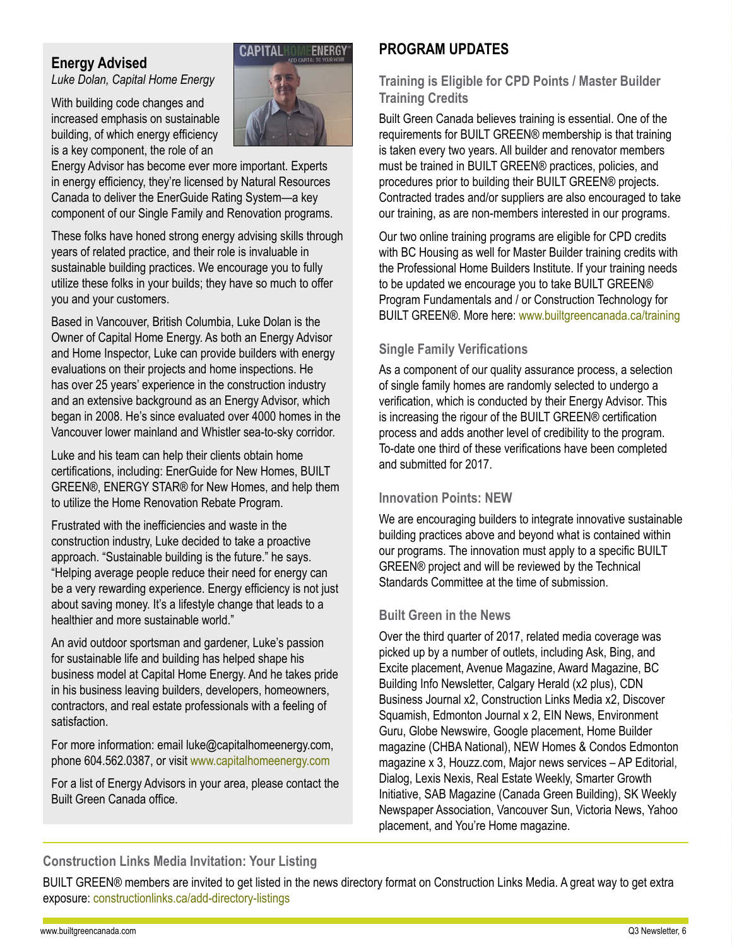# **Energy Advised**

*Luke Dolan, Capital Home Energy*

With building code changes and increased emphasis on sustainable building, of which energy efficiency is a key component, the role of an

Energy Advisor has become ever more important. Experts in energy efficiency, they're licensed by Natural Resources Canada to deliver the EnerGuide Rating System—a key component of our Single Family and Renovation programs.

These folks have honed strong energy advising skills through years of related practice, and their role is invaluable in sustainable building practices. We encourage you to fully utilize these folks in your builds; they have so much to offer you and your customers.

Based in Vancouver, British Columbia, Luke Dolan is the Owner of Capital Home Energy. As both an Energy Advisor and Home Inspector, Luke can provide builders with energy evaluations on their projects and home inspections. He has over 25 years' experience in the construction industry and an extensive background as an Energy Advisor, which began in 2008. He's since evaluated over 4000 homes in the Vancouver lower mainland and Whistler sea-to-sky corridor.

Luke and his team can help their clients obtain home certifications, including: EnerGuide for New Homes, BUILT GREEN®, ENERGY STAR® for New Homes, and help them to utilize the Home Renovation Rebate Program.

Frustrated with the inefficiencies and waste in the construction industry, Luke decided to take a proactive approach. "Sustainable building is the future." he says. "Helping average people reduce their need for energy can be a very rewarding experience. Energy efficiency is not just about saving money. It's a lifestyle change that leads to a healthier and more sustainable world."

An avid outdoor sportsman and gardener, Luke's passion for sustainable life and building has helped shape his business model at Capital Home Energy. And he takes pride in his business leaving builders, developers, homeowners, contractors, and real estate professionals with a feeling of satisfaction.

For more information: email luke@capitalhomeenergy.com, phone 604.562.0387, or visit [www.capitalhomeenergy.com](http://capitalhomeenergy.com/)

For a list of Energy Advisors in your area, please contact the Built Green Canada office.

# **PROGRAM UPDATES**

# **Training is Eligible for CPD Points / Master Builder Training Credits**

Built Green Canada believes training is essential. One of the requirements for BUILT GREEN® membership is that training is taken every two years. All builder and renovator members must be trained in BUILT GREEN® practices, policies, and procedures prior to building their BUILT GREEN® projects. Contracted trades and/or suppliers are also encouraged to take our training, as are non-members interested in our programs.

Our two online training programs are eligible for CPD credits with BC Housing as well for Master Builder training credits with the Professional Home Builders Institute. If your training needs to be updated we encourage you to take BUILT GREEN® Program Fundamentals and / or Construction Technology for BUILT GREEN®. More here: [www.builtgreencanada.ca/training](http://www.builtgreencanada.ca/training)

# **Single Family Verifications**

As a component of our quality assurance process, a selection of single family homes are randomly selected to undergo a verification, which is conducted by their Energy Advisor. This is increasing the rigour of the BUILT GREEN® certification process and adds another level of credibility to the program. To-date one third of these verifications have been completed and submitted for 2017.

# **Innovation Points: NEW**

We are encouraging builders to integrate innovative sustainable building practices above and beyond what is contained within our programs. The innovation must apply to a specific BUILT GREEN® project and will be reviewed by the Technical Standards Committee at the time of submission.

# **Built Green in the News**

Over the third quarter of 2017, related media coverage was picked up by a number of outlets, including Ask, Bing, and Excite placement, Avenue Magazine, Award Magazine, BC Building Info Newsletter, Calgary Herald (x2 plus), CDN Business Journal x2, Construction Links Media x2, Discover Squamish, Edmonton Journal x 2, EIN News, Environment Guru, Globe Newswire, Google placement, Home Builder magazine (CHBA National), NEW Homes & Condos Edmonton magazine x 3, Houzz.com, Major news services – AP Editorial, Dialog, Lexis Nexis, Real Estate Weekly, Smarter Growth Initiative, SAB Magazine (Canada Green Building), SK Weekly Newspaper Association, Vancouver Sun, Victoria News, Yahoo placement, and You're Home magazine.

# **Construction Links Media Invitation: Your Listing**

BUILT GREEN® members are invited to get listed in the news directory format on Construction Links Media. A great way to get extra exposure: [constructionlinks.ca/add-directory-listings](http://constructionlinks.ca/add-directory-listings)